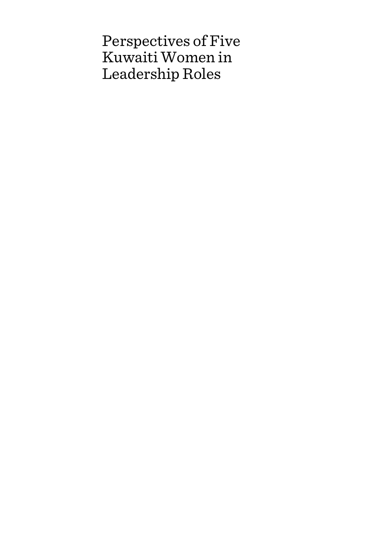Perspectives of Five Kuwaiti Women in Leadership Roles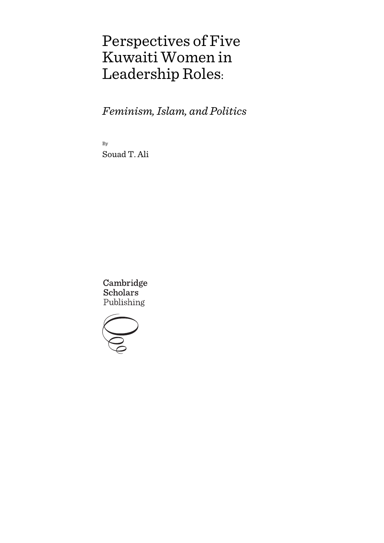# Perspectives of Five Kuwaiti Women in Leadership Roles:

*Feminism, Islam, and Politics*

By Souad T. Ali

Cambridge **Scholars** Publishing

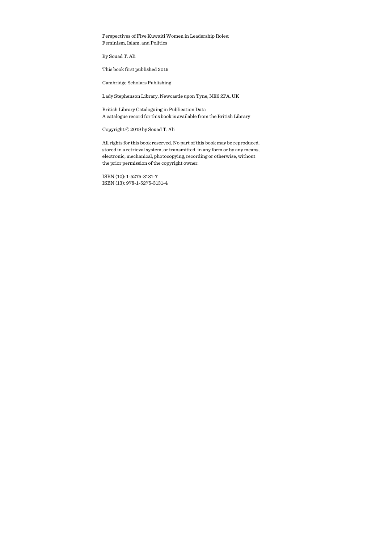Perspectives of Five Kuwaiti Women in Leadership Roles: Feminism, Islam, and Politics

By Souad T. Ali

This book first published 2019

Cambridge Scholars Publishing

Lady Stephenson Library, Newcastle upon Tyne, NE6 2PA, UK

British Library Cataloguing in Publication Data A catalogue record for this book is available from the British Library

Copyright © 2019 by Souad T. Ali

All rights for this book reserved. No part of this book may be reproduced, stored in a retrieval system, or transmitted, in any form or by any means, electronic, mechanical, photocopying, recording or otherwise, without the prior permission of the copyright owner.

ISBN (10): 1-5275-3131-7 ISBN (13): 978-1-5275-3131-4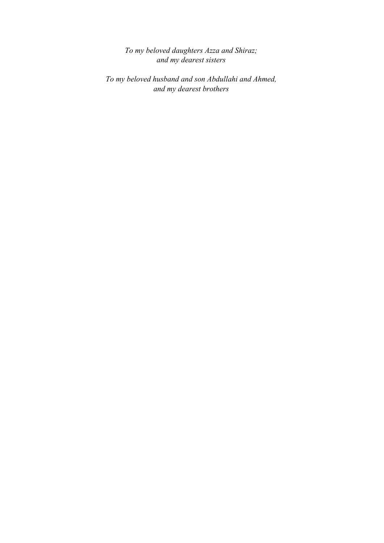*To my beloved daughters Azza and Shiraz; and my dearest sisters* 

*To my beloved husband and son Abdullahi and Ahmed, and my dearest brothers*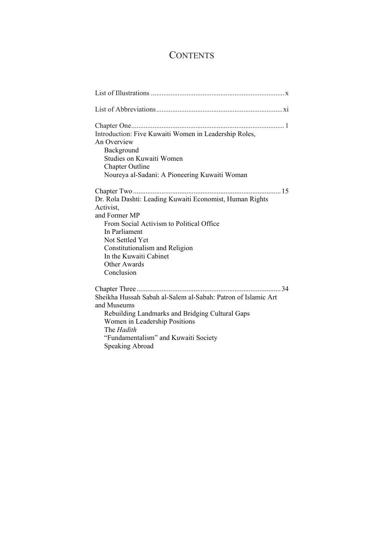# **CONTENTS**

| Introduction: Five Kuwaiti Women in Leadership Roles,<br>An Overview<br>Background<br>Studies on Kuwaiti Women<br>Chapter Outline<br>Noureya al-Sadani: A Pioneering Kuwaiti Woman                                                                                              |
|---------------------------------------------------------------------------------------------------------------------------------------------------------------------------------------------------------------------------------------------------------------------------------|
| . 15<br>Dr. Rola Dashti: Leading Kuwaiti Economist, Human Rights<br>Activist,<br>and Former MP<br>From Social Activism to Political Office<br>In Parliament<br>Not Settled Yet<br>Constitutionalism and Religion<br>In the Kuwaiti Cabinet<br><b>Other Awards</b><br>Conclusion |
| 34<br>Sheikha Hussah Sabah al-Salem al-Sabah: Patron of Islamic Art<br>and Museums<br>Rebuilding Landmarks and Bridging Cultural Gaps<br>Women in Leadership Positions<br>The Hadith<br>"Fundamentalism" and Kuwaiti Society<br>Speaking Abroad                                 |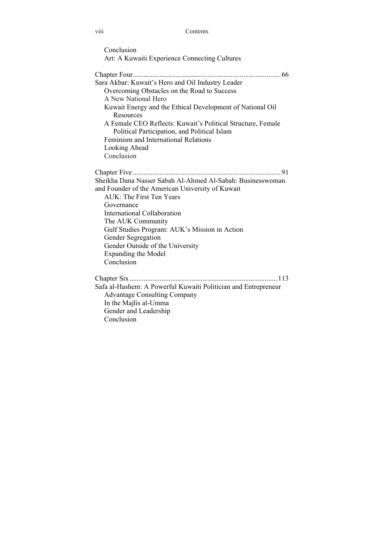#### viii Contents

| Conclusion                                    |  |
|-----------------------------------------------|--|
| Art: A Kuwaiti Experience Connecting Cultures |  |

Chapter Four ................................................................................... 66 Sara Akbar: Kuwait's Hero and Oil Industry Leader Overcoming Obstacles on the Road to Success A New National Hero Kuwait Energy and the Ethical Development of National Oil **Resources** A Female CEO Reflects: Kuwait's Political Structure, Female Political Participation, and Political Islam Feminism and International Relations Looking Ahead Conclusion

Chapter Five ................................................................................... 91 Sheikha Dana Nasser Sabah Al-Ahmed Al-Sabah: Businesswoman and Founder of the American University of Kuwait AUK: The First Ten Years Governance International Collaboration The AUK Community Gulf Studies Program: AUK's Mission in Action Gender Segregation Gender Outside of the University Expanding the Model Conclusion Chapter Six ................................................................................... 113

Safa al-Hashem: A Powerful Kuwaiti Politician and Entrepreneur Advantage Consulting Company In the Majlis al-Umma Gender and Leadership

Conclusion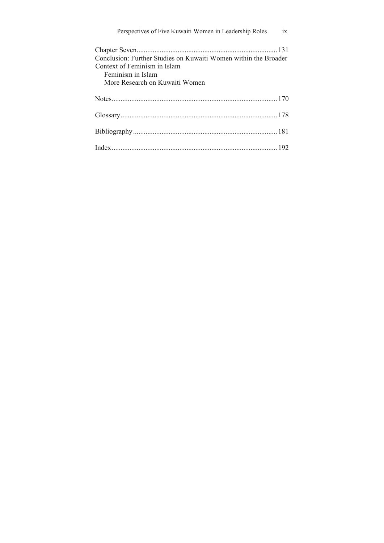| Perspectives of Five Kuwaiti Women in Leadership Roles ix       |  |
|-----------------------------------------------------------------|--|
|                                                                 |  |
| Conclusion: Further Studies on Kuwaiti Women within the Broader |  |
| Context of Feminism in Islam                                    |  |
| Feminism in Islam                                               |  |
| More Research on Kuwaiti Women                                  |  |
|                                                                 |  |
|                                                                 |  |
|                                                                 |  |
|                                                                 |  |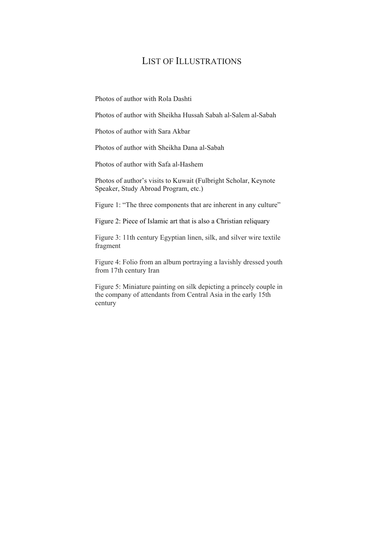# LIST OF ILLUSTRATIONS

Photos of author with Rola Dashti

Photos of author with Sheikha Hussah Sabah al-Salem al-Sabah

Photos of author with Sara Akbar

Photos of author with Sheikha Dana al-Sabah

Photos of author with Safa al-Hashem

Photos of author's visits to Kuwait (Fulbright Scholar, Keynote Speaker, Study Abroad Program, etc.)

Figure 1: "The three components that are inherent in any culture"

Figure 2: Piece of Islamic art that is also a Christian reliquary

Figure 3: 11th century Egyptian linen, silk, and silver wire textile fragment

Figure 4: Folio from an album portraying a lavishly dressed youth from 17th century Iran

Figure 5: Miniature painting on silk depicting a princely couple in the company of attendants from Central Asia in the early 15th century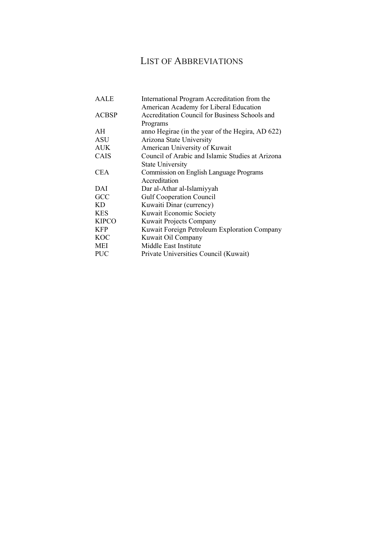# LIST OF ABBREVIATIONS

| AALE         | International Program Accreditation from the     |
|--------------|--------------------------------------------------|
|              | American Academy for Liberal Education           |
| <b>ACBSP</b> | Accreditation Council for Business Schools and   |
|              | Programs                                         |
| AH           | anno Hegirae (in the year of the Hegira, AD 622) |
| <b>ASU</b>   | Arizona State University                         |
| <b>AUK</b>   | American University of Kuwait                    |
| CAIS         | Council of Arabic and Islamic Studies at Arizona |
|              | <b>State University</b>                          |
| <b>CEA</b>   | Commission on English Language Programs          |
|              | Accreditation                                    |
| DAI          | Dar al-Athar al-Islamiyyah                       |
| GCC          | <b>Gulf Cooperation Council</b>                  |
| KD           | Kuwaiti Dinar (currency)                         |
| <b>KES</b>   | Kuwait Economic Society                          |
| <b>KIPCO</b> | Kuwait Projects Company                          |
| <b>KFP</b>   | Kuwait Foreign Petroleum Exploration Company     |
| <b>KOC</b>   | Kuwait Oil Company                               |
| <b>MEI</b>   | Middle East Institute                            |
| <b>PUC</b>   | Private Universities Council (Kuwait)            |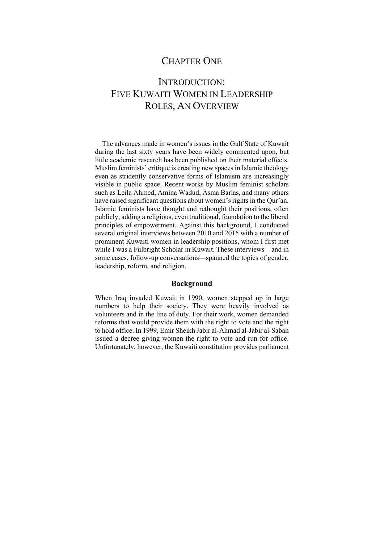### CHAPTER ONE

# INTRODUCTION: FIVE KUWAITI WOMEN IN LEADERSHIP ROLES, AN OVERVIEW

The advances made in women's issues in the Gulf State of Kuwait during the last sixty years have been widely commented upon, but little academic research has been published on their material effects. Muslim feminists' critique is creating new spaces in Islamic theology even as stridently conservative forms of Islamism are increasingly visible in public space. Recent works by Muslim feminist scholars such as Leila Ahmed, Amina Wadud, Asma Barlas, and many others have raised significant questions about women's rights in the Qur'an. Islamic feminists have thought and rethought their positions, often publicly, adding a religious, even traditional, foundation to the liberal principles of empowerment. Against this background, I conducted several original interviews between 2010 and 2015 with a number of prominent Kuwaiti women in leadership positions, whom I first met while I was a Fulbright Scholar in Kuwait. These interviews—and in some cases, follow-up conversations—spanned the topics of gender, leadership, reform, and religion.

### **Background**

When Iraq invaded Kuwait in 1990, women stepped up in large numbers to help their society. They were heavily involved as volunteers and in the line of duty. For their work, women demanded reforms that would provide them with the right to vote and the right to hold office. In 1999, Emir Sheikh Jabir al-Ahmad al-Jabir al-Sabah issued a decree giving women the right to vote and run for office. Unfortunately, however, the Kuwaiti constitution provides parliament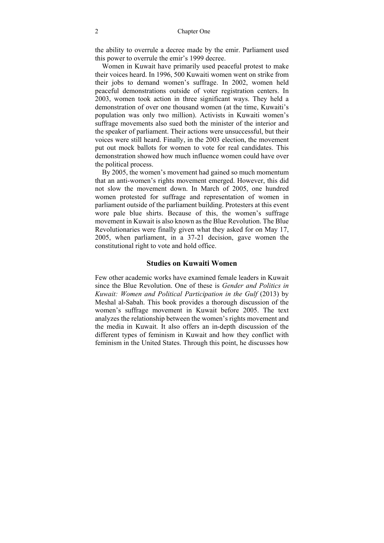the ability to overrule a decree made by the emir. Parliament used this power to overrule the emir's 1999 decree.

Women in Kuwait have primarily used peaceful protest to make their voices heard. In 1996, 500 Kuwaiti women went on strike from their jobs to demand women's suffrage. In 2002, women held peaceful demonstrations outside of voter registration centers. In 2003, women took action in three significant ways. They held a demonstration of over one thousand women (at the time, Kuwaiti's population was only two million). Activists in Kuwaiti women's suffrage movements also sued both the minister of the interior and the speaker of parliament. Their actions were unsuccessful, but their voices were still heard. Finally, in the 2003 election, the movement put out mock ballots for women to vote for real candidates. This demonstration showed how much influence women could have over the political process.

By 2005, the women's movement had gained so much momentum that an anti-women's rights movement emerged. However, this did not slow the movement down. In March of 2005, one hundred women protested for suffrage and representation of women in parliament outside of the parliament building. Protesters at this event wore pale blue shirts. Because of this, the women's suffrage movement in Kuwait is also known as the Blue Revolution. The Blue Revolutionaries were finally given what they asked for on May 17, 2005, when parliament, in a 37-21 decision, gave women the constitutional right to vote and hold office.

### **Studies on Kuwaiti Women**

Few other academic works have examined female leaders in Kuwait since the Blue Revolution. One of these is *Gender and Politics in Kuwait: Women and Political Participation in the Gulf* (2013) by Meshal al-Sabah. This book provides a thorough discussion of the women's suffrage movement in Kuwait before 2005. The text analyzes the relationship between the women's rights movement and the media in Kuwait. It also offers an in-depth discussion of the different types of feminism in Kuwait and how they conflict with feminism in the United States. Through this point, he discusses how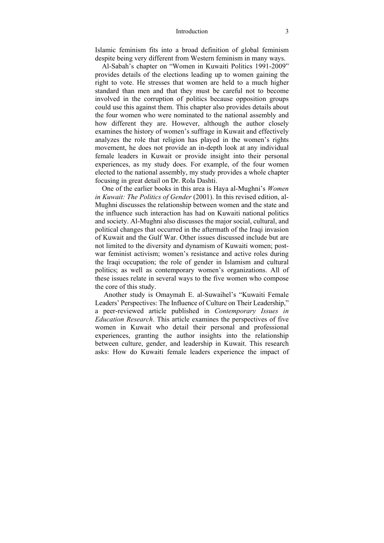#### Introduction 3

Islamic feminism fits into a broad definition of global feminism despite being very different from Western feminism in many ways.

Al-Sabah's chapter on "Women in Kuwaiti Politics 1991-2009" provides details of the elections leading up to women gaining the right to vote. He stresses that women are held to a much higher standard than men and that they must be careful not to become involved in the corruption of politics because opposition groups could use this against them. This chapter also provides details about the four women who were nominated to the national assembly and how different they are. However, although the author closely examines the history of women's suffrage in Kuwait and effectively analyzes the role that religion has played in the women's rights movement, he does not provide an in-depth look at any individual female leaders in Kuwait or provide insight into their personal experiences, as my study does. For example, of the four women elected to the national assembly, my study provides a whole chapter focusing in great detail on Dr. Rola Dashti.

One of the earlier books in this area is Haya al-Mughni's *Women in Kuwait: The Politics of Gender* (2001). In this revised edition, al-Mughni discusses the relationship between women and the state and the influence such interaction has had on Kuwaiti national politics and society. Al-Mughni also discusses the major social, cultural, and political changes that occurred in the aftermath of the Iraqi invasion of Kuwait and the Gulf War. Other issues discussed include but are not limited to the diversity and dynamism of Kuwaiti women; postwar feminist activism; women's resistance and active roles during the Iraqi occupation; the role of gender in Islamism and cultural politics; as well as contemporary women's organizations. All of these issues relate in several ways to the five women who compose the core of this study.

 Another study is Omaymah E. al-Suwaihel's "Kuwaiti Female Leaders' Perspectives: The Influence of Culture on Their Leadership," a peer-reviewed article published in *Contemporary Issues in Education Research*. This article examines the perspectives of five women in Kuwait who detail their personal and professional experiences, granting the author insights into the relationship between culture, gender, and leadership in Kuwait. This research asks: How do Kuwaiti female leaders experience the impact of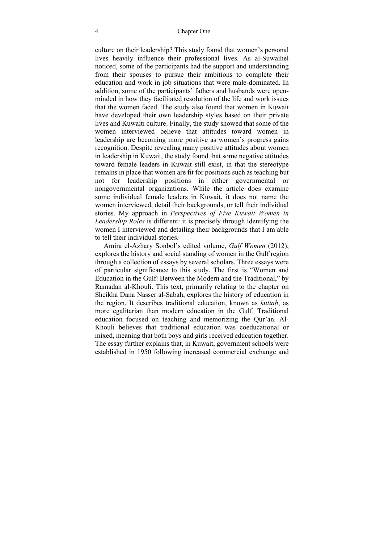#### 4 Chapter One

culture on their leadership? This study found that women's personal lives heavily influence their professional lives. As al-Suwaihel noticed, some of the participants had the support and understanding from their spouses to pursue their ambitions to complete their education and work in job situations that were male-dominated. In addition, some of the participants' fathers and husbands were openminded in how they facilitated resolution of the life and work issues that the women faced. The study also found that women in Kuwait have developed their own leadership styles based on their private lives and Kuwaiti culture. Finally, the study showed that some of the women interviewed believe that attitudes toward women in leadership are becoming more positive as women's progress gains recognition. Despite revealing many positive attitudes about women in leadership in Kuwait, the study found that some negative attitudes toward female leaders in Kuwait still exist, in that the stereotype remains in place that women are fit for positions such as teaching but not for leadership positions in either governmental or nongovernmental organizations. While the article does examine some individual female leaders in Kuwait, it does not name the women interviewed, detail their backgrounds, or tell their individual stories. My approach in *Perspectives of Five Kuwait Women in Leadership Roles* is different: it is precisely through identifying the women I interviewed and detailing their backgrounds that I am able to tell their individual stories.

 Amira el-Azhary Sonbol's edited volume, *Gulf Women* (2012), explores the history and social standing of women in the Gulf region through a collection of essays by several scholars. Three essays were of particular significance to this study. The first is "Women and Education in the Gulf: Between the Modern and the Traditional," by Ramadan al-Khouli. This text, primarily relating to the chapter on Sheikha Dana Nasser al-Sabah, explores the history of education in the region. It describes traditional education, known as *kuttab*, as more egalitarian than modern education in the Gulf. Traditional education focused on teaching and memorizing the Qur'an. Al-Khouli believes that traditional education was coeducational or mixed, meaning that both boys and girls received education together. The essay further explains that, in Kuwait, government schools were established in 1950 following increased commercial exchange and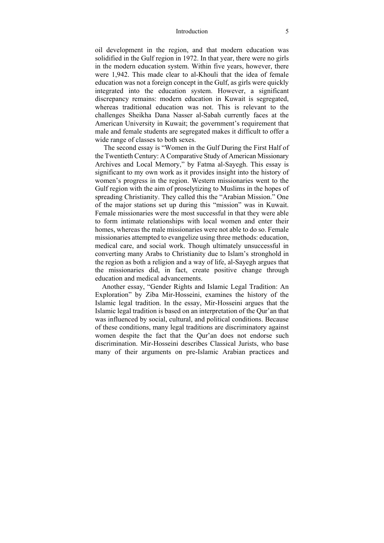#### Introduction 5

oil development in the region, and that modern education was solidified in the Gulf region in 1972. In that year, there were no girls in the modern education system. Within five years, however, there were 1,942. This made clear to al-Khouli that the idea of female education was not a foreign concept in the Gulf, as girls were quickly integrated into the education system. However, a significant discrepancy remains: modern education in Kuwait is segregated, whereas traditional education was not. This is relevant to the challenges Sheikha Dana Nasser al-Sabah currently faces at the American University in Kuwait; the government's requirement that male and female students are segregated makes it difficult to offer a wide range of classes to both sexes.

 The second essay is "Women in the Gulf During the First Half of the Twentieth Century: A Comparative Study of American Missionary Archives and Local Memory," by Fatma al-Sayegh. This essay is significant to my own work as it provides insight into the history of women's progress in the region. Western missionaries went to the Gulf region with the aim of proselytizing to Muslims in the hopes of spreading Christianity. They called this the "Arabian Mission." One of the major stations set up during this "mission" was in Kuwait. Female missionaries were the most successful in that they were able to form intimate relationships with local women and enter their homes, whereas the male missionaries were not able to do so. Female missionaries attempted to evangelize using three methods: education, medical care, and social work. Though ultimately unsuccessful in converting many Arabs to Christianity due to Islam's stronghold in the region as both a religion and a way of life, al-Sayegh argues that the missionaries did, in fact, create positive change through education and medical advancements.

Another essay, "Gender Rights and Islamic Legal Tradition: An Exploration" by Ziba Mir-Hosseini, examines the history of the Islamic legal tradition. In the essay, Mir-Hosseini argues that the Islamic legal tradition is based on an interpretation of the Qur'an that was influenced by social, cultural, and political conditions. Because of these conditions, many legal traditions are discriminatory against women despite the fact that the Qur'an does not endorse such discrimination. Mir-Hosseini describes Classical Jurists, who base many of their arguments on pre-Islamic Arabian practices and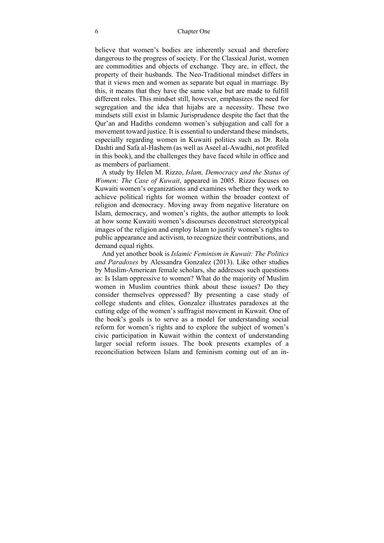#### 6 Chapter One

believe that women's bodies are inherently sexual and therefore dangerous to the progress of society. For the Classical Jurist, women are commodities and objects of exchange. They are, in effect, the property of their husbands. The Neo-Traditional mindset differs in that it views men and women as separate but equal in marriage. By this, it means that they have the same value but are made to fulfill different roles. This mindset still, however, emphasizes the need for segregation and the idea that hijabs are a necessity. These two mindsets still exist in Islamic Jurisprudence despite the fact that the Qur'an and Hadiths condemn women's subjugation and call for a movement toward justice. It is essential to understand these mindsets, especially regarding women in Kuwaiti politics such as Dr. Rola Dashti and Safa al-Hashem (as well as Aseel al-Awadhi, not profiled in this book), and the challenges they have faced while in office and as members of parliament.

A study by Helen M. Rizzo, *Islam, Democracy and the Status of Women: The Case of Kuwait*, appeared in 2005. Rizzo focuses on Kuwaiti women's organizations and examines whether they work to achieve political rights for women within the broader context of religion and democracy. Moving away from negative literature on Islam, democracy, and women's rights, the author attempts to look at how some Kuwaiti women's discourses deconstruct stereotypical images of the religion and employ Islam to justify women's rights to public appearance and activism, to recognize their contributions, and demand equal rights.

And yet another book is *Islamic Feminism in Kuwait: The Politics and Paradoxes* by Alessandra Gonzalez (2013). Like other studies by Muslim-American female scholars, she addresses such questions as: Is Islam oppressive to women? What do the majority of Muslim women in Muslim countries think about these issues? Do they consider themselves oppressed? By presenting a case study of college students and elites, Gonzalez illustrates paradoxes at the cutting edge of the women's suffragist movement in Kuwait. One of the book's goals is to serve as a model for understanding social reform for women's rights and to explore the subject of women's civic participation in Kuwait within the context of understanding larger social reform issues. The book presents examples of a reconciliation between Islam and feminism coming out of an in-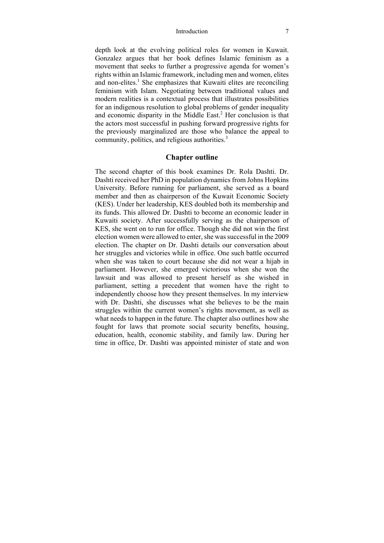#### Introduction 7

depth look at the evolving political roles for women in Kuwait. Gonzalez argues that her book defines Islamic feminism as a movement that seeks to further a progressive agenda for women's rights within an Islamic framework, including men and women, elites and non-elites.<sup>1</sup> She emphasizes that Kuwaiti elites are reconciling feminism with Islam. Negotiating between traditional values and modern realities is a contextual process that illustrates possibilities for an indigenous resolution to global problems of gender inequality and economic disparity in the Middle East. $2$  Her conclusion is that the actors most successful in pushing forward progressive rights for the previously marginalized are those who balance the appeal to community, politics, and religious authorities.<sup>3</sup>

### **Chapter outline**

The second chapter of this book examines Dr. Rola Dashti. Dr. Dashti received her PhD in population dynamics from Johns Hopkins University. Before running for parliament, she served as a board member and then as chairperson of the Kuwait Economic Society (KES). Under her leadership, KES doubled both its membership and its funds. This allowed Dr. Dashti to become an economic leader in Kuwaiti society. After successfully serving as the chairperson of KES, she went on to run for office. Though she did not win the first election women were allowed to enter, she was successful in the 2009 election. The chapter on Dr. Dashti details our conversation about her struggles and victories while in office. One such battle occurred when she was taken to court because she did not wear a hijab in parliament. However, she emerged victorious when she won the lawsuit and was allowed to present herself as she wished in parliament, setting a precedent that women have the right to independently choose how they present themselves. In my interview with Dr. Dashti, she discusses what she believes to be the main struggles within the current women's rights movement, as well as what needs to happen in the future. The chapter also outlines how she fought for laws that promote social security benefits, housing, education, health, economic stability, and family law. During her time in office, Dr. Dashti was appointed minister of state and won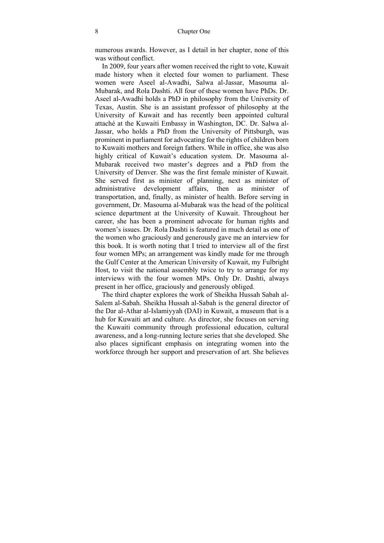numerous awards. However, as I detail in her chapter, none of this was without conflict.

In 2009, four years after women received the right to vote, Kuwait made history when it elected four women to parliament. These women were Aseel al-Awadhi, Salwa al-Jassar, Masouma al-Mubarak, and Rola Dashti. All four of these women have PhDs. Dr. Aseel al-Awadhi holds a PhD in philosophy from the University of Texas, Austin. She is an assistant professor of philosophy at the University of Kuwait and has recently been appointed cultural attaché at the Kuwaiti Embassy in Washington, DC. Dr. Salwa al-Jassar, who holds a PhD from the University of Pittsburgh, was prominent in parliament for advocating for the rights of children born to Kuwaiti mothers and foreign fathers. While in office, she was also highly critical of Kuwait's education system. Dr. Masouma al-Mubarak received two master's degrees and a PhD from the University of Denver. She was the first female minister of Kuwait. She served first as minister of planning, next as minister of administrative development affairs, then as minister of transportation, and, finally, as minister of health. Before serving in government, Dr. Masouma al-Mubarak was the head of the political science department at the University of Kuwait. Throughout her career, she has been a prominent advocate for human rights and women's issues. Dr. Rola Dashti is featured in much detail as one of the women who graciously and generously gave me an interview for this book. It is worth noting that I tried to interview all of the first four women MPs; an arrangement was kindly made for me through the Gulf Center at the American University of Kuwait, my Fulbright Host, to visit the national assembly twice to try to arrange for my interviews with the four women MPs. Only Dr. Dashti, always present in her office, graciously and generously obliged.

The third chapter explores the work of Sheikha Hussah Sabah al-Salem al-Sabah. Sheikha Hussah al-Sabah is the general director of the Dar al-Athar al-Islamiyyah (DAI) in Kuwait, a museum that is a hub for Kuwaiti art and culture. As director, she focuses on serving the Kuwaiti community through professional education, cultural awareness, and a long-running lecture series that she developed. She also places significant emphasis on integrating women into the workforce through her support and preservation of art. She believes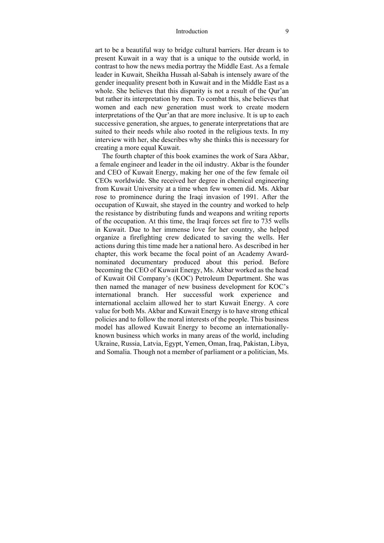#### Introduction 9

art to be a beautiful way to bridge cultural barriers. Her dream is to present Kuwait in a way that is a unique to the outside world, in contrast to how the news media portray the Middle East. As a female leader in Kuwait, Sheikha Hussah al-Sabah is intensely aware of the gender inequality present both in Kuwait and in the Middle East as a whole. She believes that this disparity is not a result of the Qur'an but rather its interpretation by men. To combat this, she believes that women and each new generation must work to create modern interpretations of the Qur'an that are more inclusive. It is up to each successive generation, she argues, to generate interpretations that are suited to their needs while also rooted in the religious texts. In my interview with her, she describes why she thinks this is necessary for creating a more equal Kuwait.

The fourth chapter of this book examines the work of Sara Akbar, a female engineer and leader in the oil industry. Akbar is the founder and CEO of Kuwait Energy, making her one of the few female oil CEOs worldwide. She received her degree in chemical engineering from Kuwait University at a time when few women did. Ms. Akbar rose to prominence during the Iraqi invasion of 1991. After the occupation of Kuwait, she stayed in the country and worked to help the resistance by distributing funds and weapons and writing reports of the occupation. At this time, the Iraqi forces set fire to 735 wells in Kuwait. Due to her immense love for her country, she helped organize a firefighting crew dedicated to saving the wells. Her actions during this time made her a national hero. As described in her chapter, this work became the focal point of an Academy Awardnominated documentary produced about this period. Before becoming the CEO of Kuwait Energy, Ms. Akbar worked as the head of Kuwait Oil Company's (KOC) Petroleum Department. She was then named the manager of new business development for KOC's international branch. Her successful work experience and international acclaim allowed her to start Kuwait Energy. A core value for both Ms. Akbar and Kuwait Energy is to have strong ethical policies and to follow the moral interests of the people. This business model has allowed Kuwait Energy to become an internationallyknown business which works in many areas of the world, including Ukraine, Russia, Latvia, Egypt, Yemen, Oman, Iraq, Pakistan, Libya, and Somalia. Though not a member of parliament or a politician, Ms.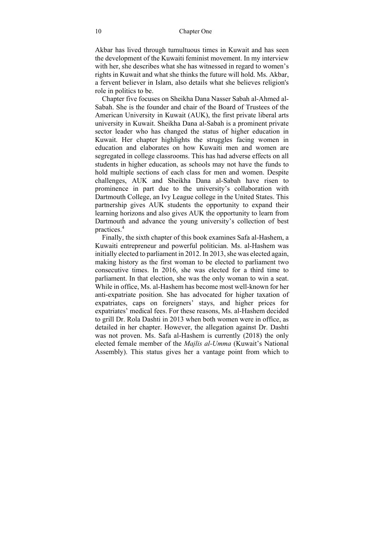Akbar has lived through tumultuous times in Kuwait and has seen the development of the Kuwaiti feminist movement. In my interview with her, she describes what she has witnessed in regard to women's rights in Kuwait and what she thinks the future will hold. Ms. Akbar, a fervent believer in Islam, also details what she believes religion's role in politics to be.

Chapter five focuses on Sheikha Dana Nasser Sabah al-Ahmed al-Sabah. She is the founder and chair of the Board of Trustees of the American University in Kuwait (AUK), the first private liberal arts university in Kuwait. Sheikha Dana al-Sabah is a prominent private sector leader who has changed the status of higher education in Kuwait. Her chapter highlights the struggles facing women in education and elaborates on how Kuwaiti men and women are segregated in college classrooms. This has had adverse effects on all students in higher education, as schools may not have the funds to hold multiple sections of each class for men and women. Despite challenges, AUK and Sheikha Dana al-Sabah have risen to prominence in part due to the university's collaboration with Dartmouth College, an Ivy League college in the United States. This partnership gives AUK students the opportunity to expand their learning horizons and also gives AUK the opportunity to learn from Dartmouth and advance the young university's collection of best practices.<sup>4</sup>

Finally, the sixth chapter of this book examines Safa al-Hashem, a Kuwaiti entrepreneur and powerful politician. Ms. al-Hashem was initially elected to parliament in 2012. In 2013, she was elected again, making history as the first woman to be elected to parliament two consecutive times. In 2016, she was elected for a third time to parliament. In that election, she was the only woman to win a seat. While in office, Ms. al-Hashem has become most well-known for her anti-expatriate position. She has advocated for higher taxation of expatriates, caps on foreigners' stays, and higher prices for expatriates' medical fees. For these reasons, Ms. al-Hashem decided to grill Dr. Rola Dashti in 2013 when both women were in office, as detailed in her chapter. However, the allegation against Dr. Dashti was not proven. Ms. Safa al-Hashem is currently (2018) the only elected female member of the *Majlis al-Umma* (Kuwait's National Assembly). This status gives her a vantage point from which to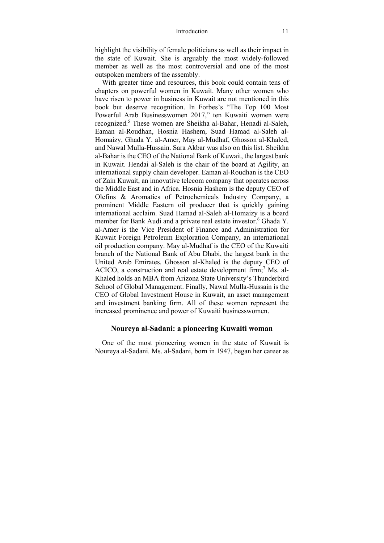#### Introduction 11

highlight the visibility of female politicians as well as their impact in the state of Kuwait. She is arguably the most widely-followed member as well as the most controversial and one of the most outspoken members of the assembly.

With greater time and resources, this book could contain tens of chapters on powerful women in Kuwait. Many other women who have risen to power in business in Kuwait are not mentioned in this book but deserve recognition. In Forbes's "The Top 100 Most Powerful Arab Businesswomen 2017," ten Kuwaiti women were recognized.<sup>5</sup> These women are Sheikha al-Bahar, Henadi al-Saleh, Eaman al-Roudhan, Hosnia Hashem, Suad Hamad al-Saleh al-Homaizy, Ghada Y. al-Amer, May al-Mudhaf, Ghosson al-Khaled, and Nawal Mulla-Hussain. Sara Akbar was also on this list. Sheikha al-Bahar is the CEO of the National Bank of Kuwait, the largest bank in Kuwait. Hendai al-Saleh is the chair of the board at Agility, an international supply chain developer. Eaman al-Roudhan is the CEO of Zain Kuwait, an innovative telecom company that operates across the Middle East and in Africa. Hosnia Hashem is the deputy CEO of Olefins & Aromatics of Petrochemicals Industry Company, a prominent Middle Eastern oil producer that is quickly gaining international acclaim. Suad Hamad al-Saleh al-Homaizy is a board member for Bank Audi and a private real estate investor.<sup>6</sup> Ghada Y. al-Amer is the Vice President of Finance and Administration for Kuwait Foreign Petroleum Exploration Company, an international oil production company. May al-Mudhaf is the CEO of the Kuwaiti branch of the National Bank of Abu Dhabi, the largest bank in the United Arab Emirates. Ghosson al-Khaled is the deputy CEO of ACICO, a construction and real estate development firm;<sup>7</sup> Ms. al-Khaled holds an MBA from Arizona State University's Thunderbird School of Global Management. Finally, Nawal Mulla-Hussain is the CEO of Global Investment House in Kuwait, an asset management and investment banking firm. All of these women represent the increased prominence and power of Kuwaiti businesswomen.

### **Noureya al-Sadani: a pioneering Kuwaiti woman**

One of the most pioneering women in the state of Kuwait is Noureya al-Sadani. Ms. al-Sadani, born in 1947, began her career as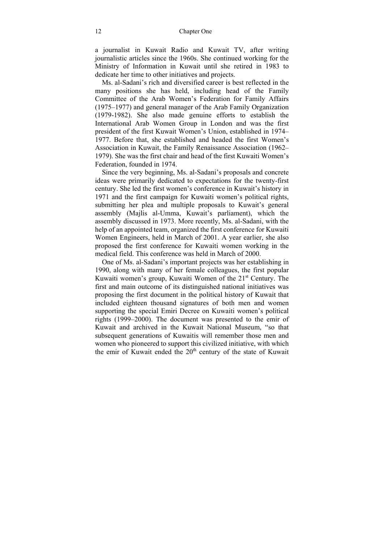#### 12 Chapter One

a journalist in Kuwait Radio and Kuwait TV, after writing journalistic articles since the 1960s. She continued working for the Ministry of Information in Kuwait until she retired in 1983 to dedicate her time to other initiatives and projects.

Ms. al-Sadani's rich and diversified career is best reflected in the many positions she has held, including head of the Family Committee of the Arab Women's Federation for Family Affairs (1975–1977) and general manager of the Arab Family Organization (1979-1982). She also made genuine efforts to establish the International Arab Women Group in London and was the first president of the first Kuwait Women's Union, established in 1974– 1977. Before that, she established and headed the first Women's Association in Kuwait, the Family Renaissance Association (1962– 1979). She was the first chair and head of the first Kuwaiti Women's Federation, founded in 1974.

Since the very beginning, Ms. al-Sadani's proposals and concrete ideas were primarily dedicated to expectations for the twenty-first century. She led the first women's conference in Kuwait's history in 1971 and the first campaign for Kuwaiti women's political rights, submitting her plea and multiple proposals to Kuwait's general assembly (Majlis al-Umma, Kuwait's parliament), which the assembly discussed in 1973. More recently, Ms. al-Sadani, with the help of an appointed team, organized the first conference for Kuwaiti Women Engineers, held in March of 2001. A year earlier, she also proposed the first conference for Kuwaiti women working in the medical field. This conference was held in March of 2000.

One of Ms. al-Sadani's important projects was her establishing in 1990, along with many of her female colleagues, the first popular Kuwaiti women's group, Kuwaiti Women of the 21<sup>st</sup> Century. The first and main outcome of its distinguished national initiatives was proposing the first document in the political history of Kuwait that included eighteen thousand signatures of both men and women supporting the special Emiri Decree on Kuwaiti women's political rights (1999–2000). The document was presented to the emir of Kuwait and archived in the Kuwait National Museum, "so that subsequent generations of Kuwaitis will remember those men and women who pioneered to support this civilized initiative, with which the emir of Kuwait ended the  $20<sup>th</sup>$  century of the state of Kuwait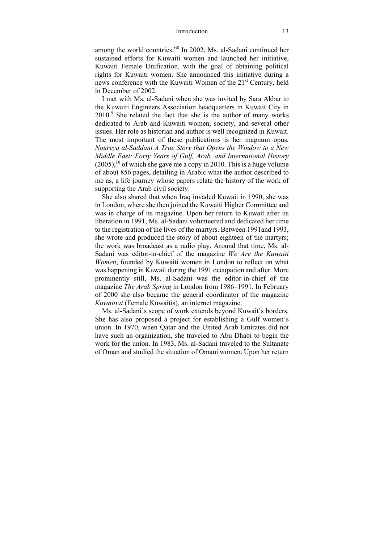among the world countries."8 In 2002, Ms. al-Sadani continued her sustained efforts for Kuwaiti women and launched her initiative, Kuwaiti Female Unification, with the goal of obtaining political rights for Kuwaiti women. She announced this initiative during a news conference with the Kuwaiti Women of the 21<sup>st</sup> Century, held in December of 2002.

I met with Ms. al-Sadani when she was invited by Sara Akbar to the Kuwaiti Engineers Association headquarters in Kuwait City in  $2010$ .<sup>9</sup> She related the fact that she is the author of many works dedicated to Arab and Kuwaiti women, society, and several other issues. Her role as historian and author is well recognized in Kuwait. The most important of these publications is her magnum opus, *Noureya al-Saddani A True Story that Opens the Window to a New Middle East: Forty Years of Gulf, Arab, and International History*   $(2005)$ ,<sup>10</sup> of which she gave me a copy in 2010. This is a huge volume of about 856 pages, detailing in Arabic what the author described to me as, a life journey whose papers relate the history of the work of supporting the Arab civil society.

She also shared that when Iraq invaded Kuwait in 1990, she was in London, where she then joined the Kuwaiti Higher Committee and was in charge of its magazine. Upon her return to Kuwait after its liberation in 1991, Ms. al-Sadani volunteered and dedicated her time to the registration of the lives of the martyrs. Between 1991and 1993, she wrote and produced the story of about eighteen of the martyrs; the work was broadcast as a radio play. Around that time, Ms. al-Sadani was editor-in-chief of the magazine *We Are the Kuwaiti Women*, founded by Kuwaiti women in London to reflect on what was happening in Kuwait during the 1991 occupation and after. More prominently still, Ms. al-Sadani was the editor-in-chief of the magazine *The Arab Spring* in London from 1986–1991. In February of 2000 she also became the general coordinator of the magazine *Kuwaitiat* (Female Kuwaitis), an internet magazine.

Ms. al-Sadani's scope of work extends beyond Kuwait's borders. She has also proposed a project for establishing a Gulf women's union. In 1970, when Qatar and the United Arab Emirates did not have such an organization, she traveled to Abu Dhabi to begin the work for the union. In 1983, Ms. al-Sadani traveled to the Sultanate of Oman and studied the situation of Omani women. Upon her return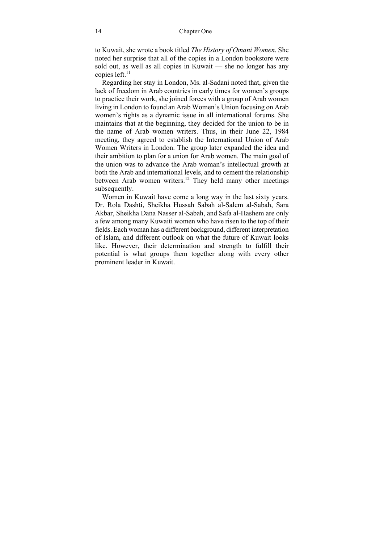to Kuwait, she wrote a book titled *The History of Omani Women*. She noted her surprise that all of the copies in a London bookstore were sold out, as well as all copies in Kuwait — she no longer has any copies left.<sup>11</sup>

Regarding her stay in London, Ms. al-Sadani noted that, given the lack of freedom in Arab countries in early times for women's groups to practice their work, she joined forces with a group of Arab women living in London to found an Arab Women's Union focusing on Arab women's rights as a dynamic issue in all international forums. She maintains that at the beginning, they decided for the union to be in the name of Arab women writers. Thus, in their June 22, 1984 meeting, they agreed to establish the International Union of Arab Women Writers in London. The group later expanded the idea and their ambition to plan for a union for Arab women. The main goal of the union was to advance the Arab woman's intellectual growth at both the Arab and international levels, and to cement the relationship between Arab women writers.<sup>12</sup> They held many other meetings subsequently.

Women in Kuwait have come a long way in the last sixty years. Dr. Rola Dashti, Sheikha Hussah Sabah al-Salem al-Sabah, Sara Akbar, Sheikha Dana Nasser al-Sabah, and Safa al-Hashem are only a few among many Kuwaiti women who have risen to the top of their fields. Each woman has a different background, different interpretation of Islam, and different outlook on what the future of Kuwait looks like. However, their determination and strength to fulfill their potential is what groups them together along with every other prominent leader in Kuwait.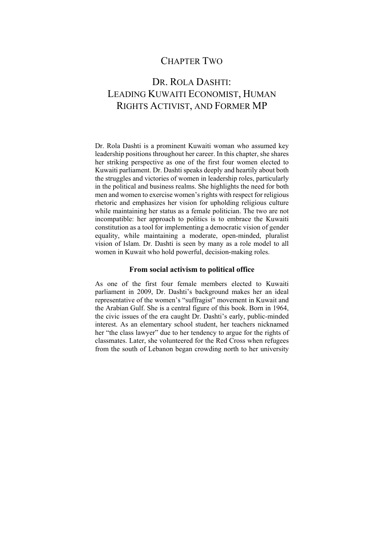### CHAPTER TWO

# DR. ROLA DASHTI: LEADING KUWAITI ECONOMIST, HUMAN RIGHTS ACTIVIST, AND FORMER MP

Dr. Rola Dashti is a prominent Kuwaiti woman who assumed key leadership positions throughout her career. In this chapter, she shares her striking perspective as one of the first four women elected to Kuwaiti parliament. Dr. Dashti speaks deeply and heartily about both the struggles and victories of women in leadership roles, particularly in the political and business realms. She highlights the need for both men and women to exercise women's rights with respect for religious rhetoric and emphasizes her vision for upholding religious culture while maintaining her status as a female politician. The two are not incompatible: her approach to politics is to embrace the Kuwaiti constitution as a tool for implementing a democratic vision of gender equality, while maintaining a moderate, open-minded, pluralist vision of Islam. Dr. Dashti is seen by many as a role model to all women in Kuwait who hold powerful, decision-making roles.

### **From social activism to political office**

As one of the first four female members elected to Kuwaiti parliament in 2009, Dr. Dashti's background makes her an ideal representative of the women's "suffragist" movement in Kuwait and the Arabian Gulf. She is a central figure of this book. Born in 1964, the civic issues of the era caught Dr. Dashti's early, public-minded interest. As an elementary school student, her teachers nicknamed her "the class lawyer" due to her tendency to argue for the rights of classmates. Later, she volunteered for the Red Cross when refugees from the south of Lebanon began crowding north to her university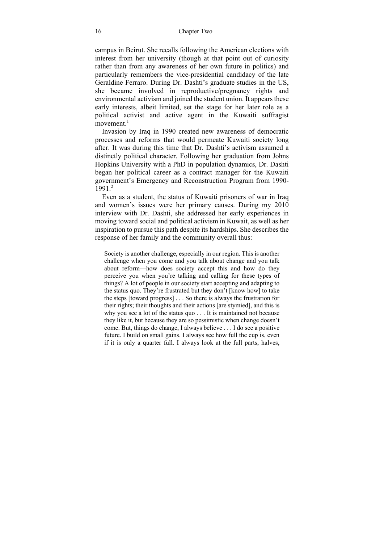campus in Beirut. She recalls following the American elections with interest from her university (though at that point out of curiosity rather than from any awareness of her own future in politics) and particularly remembers the vice-presidential candidacy of the late Geraldine Ferraro. During Dr. Dashti's graduate studies in the US, she became involved in reproductive/pregnancy rights and environmental activism and joined the student union. It appears these early interests, albeit limited, set the stage for her later role as a political activist and active agent in the Kuwaiti suffragist  $moverent$ <sup>1</sup>

Invasion by Iraq in 1990 created new awareness of democratic processes and reforms that would permeate Kuwaiti society long after. It was during this time that Dr. Dashti's activism assumed a distinctly political character. Following her graduation from Johns Hopkins University with a PhD in population dynamics, Dr. Dashti began her political career as a contract manager for the Kuwaiti government's Emergency and Reconstruction Program from 1990-  $1991.<sup>2</sup>$ 

Even as a student, the status of Kuwaiti prisoners of war in Iraq and women's issues were her primary causes. During my 2010 interview with Dr. Dashti, she addressed her early experiences in moving toward social and political activism in Kuwait, as well as her inspiration to pursue this path despite its hardships. She describes the response of her family and the community overall thus:

Society is another challenge, especially in our region. This is another challenge when you come and you talk about change and you talk about reform—how does society accept this and how do they perceive you when you're talking and calling for these types of things? A lot of people in our society start accepting and adapting to the status quo. They're frustrated but they don't [know how] to take the steps [toward progress] . . . So there is always the frustration for their rights; their thoughts and their actions [are stymied], and this is why you see a lot of the status quo . . . It is maintained not because they like it, but because they are so pessimistic when change doesn't come. But, things do change, I always believe . . . I do see a positive future. I build on small gains. I always see how full the cup is, even if it is only a quarter full. I always look at the full parts, halves,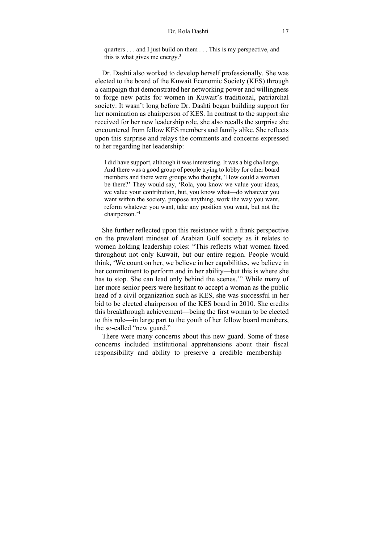quarters . . . and I just build on them . . . This is my perspective, and this is what gives me energy. $3$ 

Dr. Dashti also worked to develop herself professionally. She was elected to the board of the Kuwait Economic Society (KES) through a campaign that demonstrated her networking power and willingness to forge new paths for women in Kuwait's traditional, patriarchal society. It wasn't long before Dr. Dashti began building support for her nomination as chairperson of KES. In contrast to the support she received for her new leadership role, she also recalls the surprise she encountered from fellow KES members and family alike. She reflects upon this surprise and relays the comments and concerns expressed to her regarding her leadership:

I did have support, although it was interesting. It was a big challenge. And there was a good group of people trying to lobby for other board members and there were groups who thought, 'How could a woman be there?' They would say, 'Rola, you know we value your ideas, we value your contribution, but, you know what—do whatever you want within the society, propose anything, work the way you want, reform whatever you want, take any position you want, but not the chairperson.'4

She further reflected upon this resistance with a frank perspective on the prevalent mindset of Arabian Gulf society as it relates to women holding leadership roles: "This reflects what women faced throughout not only Kuwait, but our entire region. People would think, 'We count on her, we believe in her capabilities, we believe in her commitment to perform and in her ability—but this is where she has to stop. She can lead only behind the scenes.'" While many of her more senior peers were hesitant to accept a woman as the public head of a civil organization such as KES, she was successful in her bid to be elected chairperson of the KES board in 2010. She credits this breakthrough achievement—being the first woman to be elected to this role—in large part to the youth of her fellow board members, the so-called "new guard."

There were many concerns about this new guard. Some of these concerns included institutional apprehensions about their fiscal responsibility and ability to preserve a credible membership